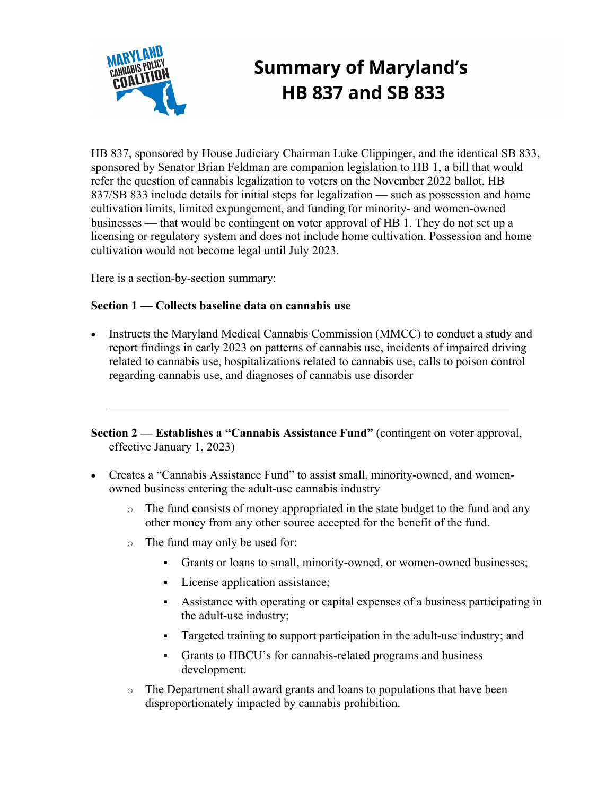

# **Summary of Maryland's HB 837 and SB 833**

HB 837, sponsored by House Judiciary Chairman Luke Clippinger, and the identical SB 833, sponsored by Senator Brian Feldman are companion legislation to HB 1, a bill that would refer the question of cannabis legalization to voters on the November 2022 ballot. HB 837/SB 833 include details for initial steps for legalization — such as possession and home cultivation limits, limited expungement, and funding for minority- and women-owned businesses — that would be contingent on voter approval of HB 1. They do not set up a licensing or regulatory system and does not include home cultivation. Possession and home cultivation would not become legal until July 2023.

Here is a section-by-section summary:

# **Section 1 — Collects baseline data on cannabis use**

• Instructs the Maryland Medical Cannabis Commission (MMCC) to conduct a study and report findings in early 2023 on patterns of cannabis use, incidents of impaired driving related to cannabis use, hospitalizations related to cannabis use, calls to poison control regarding cannabis use, and diagnoses of cannabis use disorder

**Section 2 — Establishes a "Cannabis Assistance Fund"** (contingent on voter approval, effective January 1, 2023)

- Creates a "Cannabis Assistance Fund" to assist small, minority-owned, and womenowned business entering the adult-use cannabis industry
	- o The fund consists of money appropriated in the state budget to the fund and any other money from any other source accepted for the benefit of the fund.
	- o The fund may only be used for:
		- Grants or loans to small, minority-owned, or women-owned businesses;
		- License application assistance;
		- § Assistance with operating or capital expenses of a business participating in the adult-use industry;
		- Targeted training to support participation in the adult-use industry; and
		- § Grants to HBCU's for cannabis-related programs and business development.
	- o The Department shall award grants and loans to populations that have been disproportionately impacted by cannabis prohibition.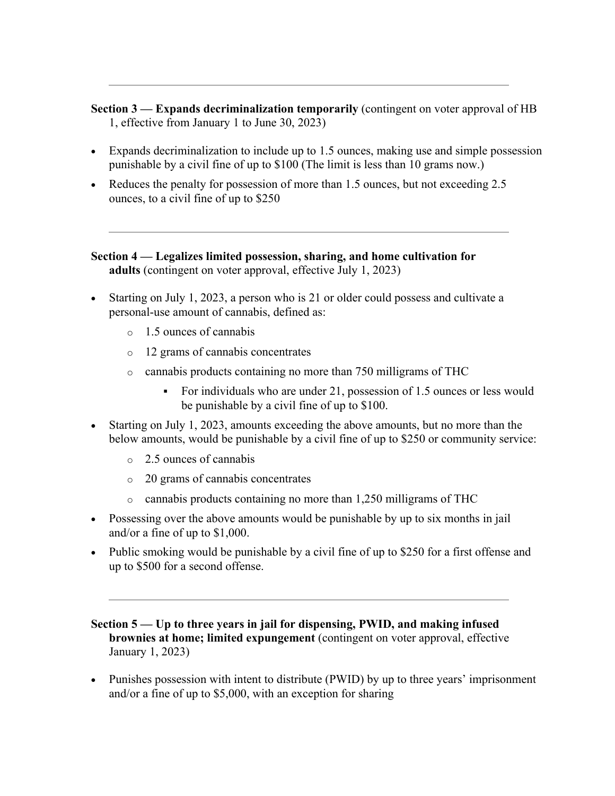**Section 3 — Expands decriminalization temporarily** (contingent on voter approval of HB 1, effective from January 1 to June 30, 2023)

- Expands decriminalization to include up to 1.5 ounces, making use and simple possession punishable by a civil fine of up to \$100 (The limit is less than 10 grams now.)
- Reduces the penalty for possession of more than 1.5 ounces, but not exceeding 2.5 ounces, to a civil fine of up to \$250

# **Section 4 — Legalizes limited possession, sharing, and home cultivation for adults** (contingent on voter approval, effective July 1, 2023)

- Starting on July 1, 2023, a person who is 21 or older could possess and cultivate a personal-use amount of cannabis, defined as:
	- o 1.5 ounces of cannabis
	- o 12 grams of cannabis concentrates
	- o cannabis products containing no more than 750 milligrams of THC
		- For individuals who are under 21, possession of 1.5 ounces or less would be punishable by a civil fine of up to \$100.
- Starting on July 1, 2023, amounts exceeding the above amounts, but no more than the below amounts, would be punishable by a civil fine of up to \$250 or community service:
	- o 2.5 ounces of cannabis
	- o 20 grams of cannabis concentrates
	- o cannabis products containing no more than 1,250 milligrams of THC
- Possessing over the above amounts would be punishable by up to six months in jail and/or a fine of up to \$1,000.
- Public smoking would be punishable by a civil fine of up to \$250 for a first offense and up to \$500 for a second offense.

**Section 5 — Up to three years in jail for dispensing, PWID, and making infused brownies at home; limited expungement** (contingent on voter approval, effective January 1, 2023)

• Punishes possession with intent to distribute (PWID) by up to three years' imprisonment and/or a fine of up to \$5,000, with an exception for sharing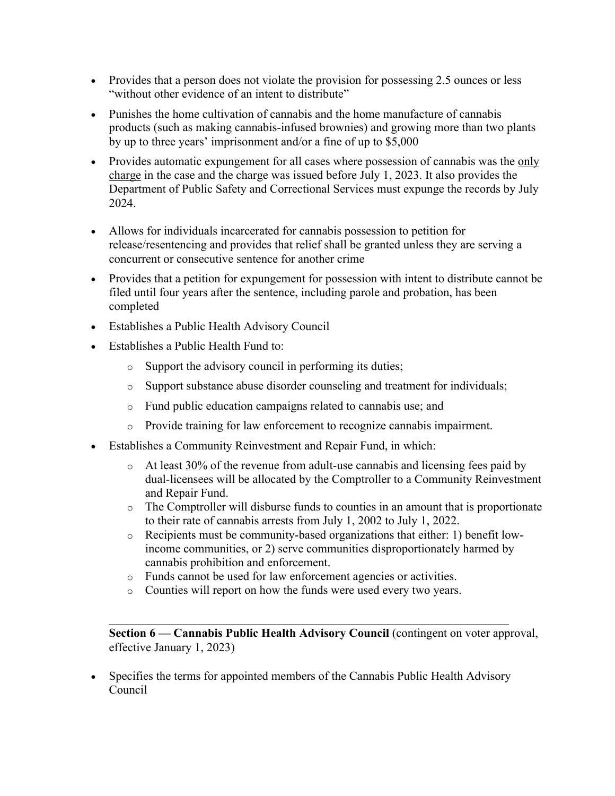- Provides that a person does not violate the provision for possessing 2.5 ounces or less "without other evidence of an intent to distribute"
- Punishes the home cultivation of cannabis and the home manufacture of cannabis products (such as making cannabis-infused brownies) and growing more than two plants by up to three years' imprisonment and/or a fine of up to \$5,000
- Provides automatic expungement for all cases where possession of cannabis was the only charge in the case and the charge was issued before July 1, 2023. It also provides the Department of Public Safety and Correctional Services must expunge the records by July 2024.
- Allows for individuals incarcerated for cannabis possession to petition for release/resentencing and provides that relief shall be granted unless they are serving a concurrent or consecutive sentence for another crime
- Provides that a petition for expungement for possession with intent to distribute cannot be filed until four years after the sentence, including parole and probation, has been completed
- Establishes a Public Health Advisory Council
- Establishes a Public Health Fund to:
	- o Support the advisory council in performing its duties;
	- o Support substance abuse disorder counseling and treatment for individuals;
	- o Fund public education campaigns related to cannabis use; and
	- o Provide training for law enforcement to recognize cannabis impairment.
- Establishes a Community Reinvestment and Repair Fund, in which:
	- o At least 30% of the revenue from adult-use cannabis and licensing fees paid by dual-licensees will be allocated by the Comptroller to a Community Reinvestment and Repair Fund.
	- o The Comptroller will disburse funds to counties in an amount that is proportionate to their rate of cannabis arrests from July 1, 2002 to July 1, 2022.
	- o Recipients must be community-based organizations that either: 1) benefit lowincome communities, or 2) serve communities disproportionately harmed by cannabis prohibition and enforcement.
	- o Funds cannot be used for law enforcement agencies or activities.
	- o Counties will report on how the funds were used every two years.

**Section 6 — Cannabis Public Health Advisory Council** (contingent on voter approval, effective January 1, 2023)

• Specifies the terms for appointed members of the Cannabis Public Health Advisory Council